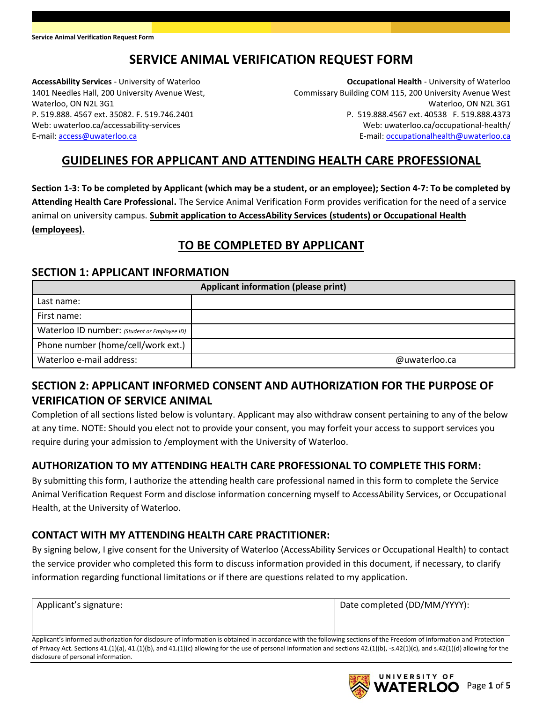# **SERVICE ANIMAL VERIFICATION REQUEST FORM**

**AccessAbility Services** - University of Waterloo 1401 Needles Hall, 200 University Avenue West, Waterloo, ON N2L 3G1 P. 519.888. 4567 ext. 35082. F. 519.746.2401 Web: uwaterloo.ca/accessability-services E-mail: [access@uwaterloo.ca](mailto:access@uwaterloo.ca)

**Occupational Health** - University of Waterloo Commissary Building COM 115, 200 University Avenue West Waterloo, ON N2L 3G1 P. 519.888.4567 ext. 40538 F. 519.888.4373 Web: uwaterloo.ca/occupational-health/ E-mail[: occupationalhealth@uwaterloo.ca](mailto:occupationalhealth@uwaterloo.ca)

### **GUIDELINES FOR APPLICANT AND ATTENDING HEALTH CARE PROFESSIONAL**

**Section 1-3: To be completed by Applicant (which may be a student, or an employee); Section 4-7: To be completed by Attending Health Care Professional.** The Service Animal Verification Form provides verification for the need of a service animal on university campus. **Submit application to AccessAbility Services (students) or Occupational Health (employees).**

### **TO BE COMPLETED BY APPLICANT**

#### **SECTION 1: APPLICANT INFORMATION**

| Applicant information (please print)         |               |  |
|----------------------------------------------|---------------|--|
| Last name:                                   |               |  |
| First name:                                  |               |  |
| Waterloo ID number: (Student or Employee ID) |               |  |
| Phone number (home/cell/work ext.)           |               |  |
| Waterloo e-mail address:                     | @uwaterloo.ca |  |

### **SECTION 2: APPLICANT INFORMED CONSENT AND AUTHORIZATION FOR THE PURPOSE OF VERIFICATION OF SERVICE ANIMAL**

Completion of all sections listed below is voluntary. Applicant may also withdraw consent pertaining to any of the below at any time. NOTE: Should you elect not to provide your consent, you may forfeit your access to support services you require during your admission to /employment with the University of Waterloo.

#### **AUTHORIZATION TO MY ATTENDING HEALTH CARE PROFESSIONAL TO COMPLETE THIS FORM:**

By submitting this form, I authorize the attending health care professional named in this form to complete the Service Animal Verification Request Form and disclose information concerning myself to AccessAbility Services, or Occupational Health, at the University of Waterloo.

#### **CONTACT WITH MY ATTENDING HEALTH CARE PRACTITIONER:**

By signing below, I give consent for the University of Waterloo (AccessAbility Services or Occupational Health) to contact the service provider who completed this form to discuss information provided in this document, if necessary, to clarify information regarding functional limitations or if there are questions related to my application.

| Applicant's signature: | Date completed (DD/MM/YYYY): |
|------------------------|------------------------------|
|                        |                              |

Applicant's informed authorization for disclosure of information is obtained in accordance with the following sections of the Freedom of Information and Protection of Privacy Act. Sections 41.(1)(a), 41.(1)(b), and 41.(1)(c) allowing for the use of personal information and sections 42.(1)(b), -s.42(1)(c), and s.42(1)(d) allowing for the disclosure of personal information.

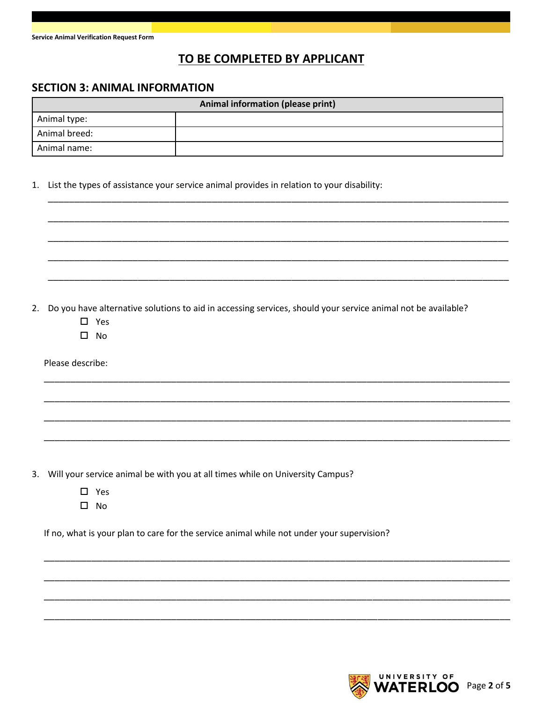### TO BE COMPLETED BY APPLICANT

#### **SECTION 3: ANIMAL INFORMATION**

| Animal information (please print) |  |  |
|-----------------------------------|--|--|
| Animal type:                      |  |  |
| Animal breed:                     |  |  |
| Animal name:                      |  |  |

1. List the types of assistance your service animal provides in relation to your disability:

2. Do you have alternative solutions to aid in accessing services, should your service animal not be available?

- $\square$  Yes
- $\Box$  No

Please describe:

3. Will your service animal be with you at all times while on University Campus?

- $\square$  Yes
- $\square$  No

If no, what is your plan to care for the service animal while not under your supervision?

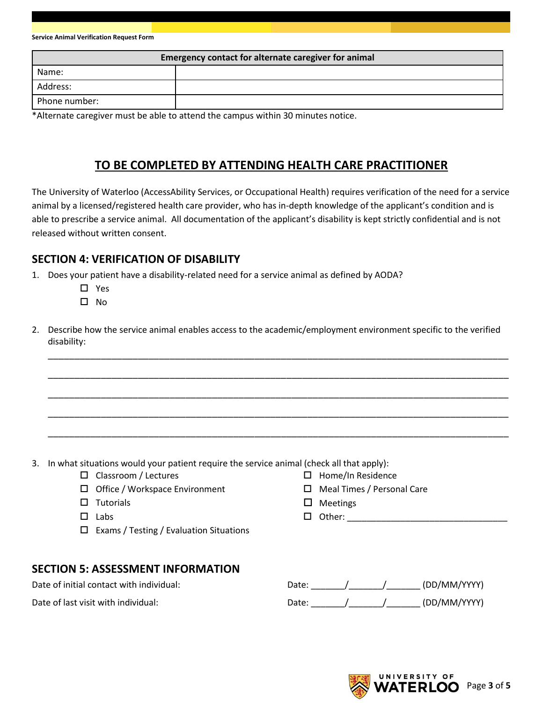| Service Animal Verification Request Form |  |  |  |
|------------------------------------------|--|--|--|
|------------------------------------------|--|--|--|

| Emergency contact for alternate caregiver for animal |  |  |
|------------------------------------------------------|--|--|
| Name:                                                |  |  |
| Address:                                             |  |  |
| Phone number:                                        |  |  |

\*Alternate caregiver must be able to attend the campus within 30 minutes notice.

### **TO BE COMPLETED BY ATTENDING HEALTH CARE PRACTITIONER**

The University of Waterloo (AccessAbility Services, or Occupational Health) requires verification of the need for a service animal by a licensed/registered health care provider, who has in-depth knowledge of the applicant's condition and is able to prescribe a service animal. All documentation of the applicant's disability is kept strictly confidential and is not released without written consent.

#### **SECTION 4: VERIFICATION OF DISABILITY**

- 1. Does your patient have a disability-related need for a service animal as defined by AODA?
	- □ Yes
	- $\Box$  No
- 2. Describe how the service animal enables access to the academic/employment environment specific to the verified disability:

\_\_\_\_\_\_\_\_\_\_\_\_\_\_\_\_\_\_\_\_\_\_\_\_\_\_\_\_\_\_\_\_\_\_\_\_\_\_\_\_\_\_\_\_\_\_\_\_\_\_\_\_\_\_\_\_\_\_\_\_\_\_\_\_\_\_\_\_\_\_\_\_\_\_\_\_\_\_\_\_\_\_\_\_\_\_\_

\_\_\_\_\_\_\_\_\_\_\_\_\_\_\_\_\_\_\_\_\_\_\_\_\_\_\_\_\_\_\_\_\_\_\_\_\_\_\_\_\_\_\_\_\_\_\_\_\_\_\_\_\_\_\_\_\_\_\_\_\_\_\_\_\_\_\_\_\_\_\_\_\_\_\_\_\_\_\_\_\_\_\_\_\_\_\_

\_\_\_\_\_\_\_\_\_\_\_\_\_\_\_\_\_\_\_\_\_\_\_\_\_\_\_\_\_\_\_\_\_\_\_\_\_\_\_\_\_\_\_\_\_\_\_\_\_\_\_\_\_\_\_\_\_\_\_\_\_\_\_\_\_\_\_\_\_\_\_\_\_\_\_\_\_\_\_\_\_\_\_\_\_\_\_

\_\_\_\_\_\_\_\_\_\_\_\_\_\_\_\_\_\_\_\_\_\_\_\_\_\_\_\_\_\_\_\_\_\_\_\_\_\_\_\_\_\_\_\_\_\_\_\_\_\_\_\_\_\_\_\_\_\_\_\_\_\_\_\_\_\_\_\_\_\_\_\_\_\_\_\_\_\_\_\_\_\_\_\_\_\_\_

\_\_\_\_\_\_\_\_\_\_\_\_\_\_\_\_\_\_\_\_\_\_\_\_\_\_\_\_\_\_\_\_\_\_\_\_\_\_\_\_\_\_\_\_\_\_\_\_\_\_\_\_\_\_\_\_\_\_\_\_\_\_\_\_\_\_\_\_\_\_\_\_\_\_\_\_\_\_\_\_\_\_\_\_\_\_\_

- 3. In what situations would your patient require the service animal (check all that apply):
	- $\square$  Classroom / Lectures
	- $\Box$  Office / Workspace Environment
	- $\square$  Tutorials
	- $\square$  Labs
	- $\Box$  Exams / Testing / Evaluation Situations

#### **SECTION 5: ASSESSMENT INFORMATION**

|  |  | $\frac{1}{2}$            |  |
|--|--|--------------------------|--|
|  |  | $\Box$ Home/In Residence |  |

- □ Meal Times / Personal Care
- $\Box$  Meetings
- $\Box$  Other:  $\Box$

Date of initial contact with individual:  $Date:$   $\begin{array}{ccc} \text{Date:} & \text{True} & \text{True} \end{array}$  (DD/MM/YYYY)

Date of last visit with individual:  $Date:$   $Date:$   $\frac{1}{2}$   $\frac{1}{2}$   $\frac{1}{2}$   $\frac{1}{2}$   $\frac{1}{2}$   $\frac{1}{2}$   $\frac{1}{2}$   $\frac{1}{2}$   $\frac{1}{2}$   $\frac{1}{2}$   $\frac{1}{2}$   $\frac{1}{2}$   $\frac{1}{2}$   $\frac{1}{2}$   $\frac{1}{2}$   $\frac{1}{2}$   $\frac{1}{2}$   $\frac{$ 

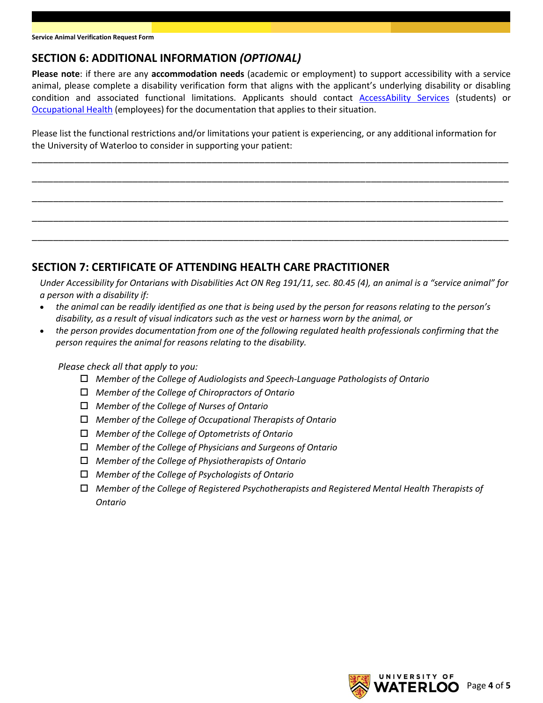### **SECTION 6: ADDITIONAL INFORMATION** *(OPTIONAL)*

**Please note**: if there are any **accommodation needs** (academic or employment) to support accessibility with a service animal, please complete a disability verification form that aligns with the applicant's underlying disability or disabling condition and associated functional limitations. Applicants should contact [AccessAbility Services](https://uwaterloo.ca/accessability-services/students/applying-academic-accommodations/disability-verification) (students) or [Occupational Health](https://uwaterloo.ca/occupational-health/our-services) (employees) for the documentation that applies to their situation.

Please list the functional restrictions and/or limitations your patient is experiencing, or any additional information for the University of Waterloo to consider in supporting your patient:

\_\_\_\_\_\_\_\_\_\_\_\_\_\_\_\_\_\_\_\_\_\_\_\_\_\_\_\_\_\_\_\_\_\_\_\_\_\_\_\_\_\_\_\_\_\_\_\_\_\_\_\_\_\_\_\_\_\_\_\_\_\_\_\_\_\_\_\_\_\_\_\_\_\_\_\_\_\_\_\_\_\_\_\_\_\_\_\_\_\_

\_\_\_\_\_\_\_\_\_\_\_\_\_\_\_\_\_\_\_\_\_\_\_\_\_\_\_\_\_\_\_\_\_\_\_\_\_\_\_\_\_\_\_\_\_\_\_\_\_\_\_\_\_\_\_\_\_\_\_\_\_\_\_\_\_\_\_\_\_\_\_\_\_\_\_\_\_\_\_\_\_\_\_\_\_\_\_\_\_\_

\_\_\_\_\_\_\_\_\_\_\_\_\_\_\_\_\_\_\_\_\_\_\_\_\_\_\_\_\_\_\_\_\_\_\_\_\_\_\_\_\_\_\_\_\_\_\_\_\_\_\_\_\_\_\_\_\_\_\_\_\_\_\_\_\_\_\_\_\_\_\_\_\_\_\_\_\_\_\_\_\_\_\_\_\_\_\_\_\_

\_\_\_\_\_\_\_\_\_\_\_\_\_\_\_\_\_\_\_\_\_\_\_\_\_\_\_\_\_\_\_\_\_\_\_\_\_\_\_\_\_\_\_\_\_\_\_\_\_\_\_\_\_\_\_\_\_\_\_\_\_\_\_\_\_\_\_\_\_\_\_\_\_\_\_\_\_\_\_\_\_\_\_\_\_\_\_\_\_\_

\_\_\_\_\_\_\_\_\_\_\_\_\_\_\_\_\_\_\_\_\_\_\_\_\_\_\_\_\_\_\_\_\_\_\_\_\_\_\_\_\_\_\_\_\_\_\_\_\_\_\_\_\_\_\_\_\_\_\_\_\_\_\_\_\_\_\_\_\_\_\_\_\_\_\_\_\_\_\_\_\_\_\_\_\_\_\_\_\_\_

### **SECTION 7: CERTIFICATE OF ATTENDING HEALTH CARE PRACTITIONER**

*Under Accessibility for Ontarians with Disabilities Act ON Reg 191/11, sec. 80.45 (4), an animal is a "service animal" for a person with a disability if:*

- *the animal can be readily identified as one that is being used by the person for reasons relating to the person's disability, as a result of visual indicators such as the vest or harness worn by the animal, or*
- *the person provides documentation from one of the following regulated health professionals confirming that the person requires the animal for reasons relating to the disability.*

*Please check all that apply to you:*

- *Member of the College of Audiologists and Speech-Language Pathologists of Ontario*
- *Member of the College of Chiropractors of Ontario*
- *Member of the College of Nurses of Ontario*
- *Member of the College of Occupational Therapists of Ontario*
- *Member of the College of Optometrists of Ontario*
- *Member of the College of Physicians and Surgeons of Ontario*
- *Member of the College of Physiotherapists of Ontario*
- *Member of the College of Psychologists of Ontario*
- *Member of the College of Registered Psychotherapists and Registered Mental Health Therapists of Ontario*